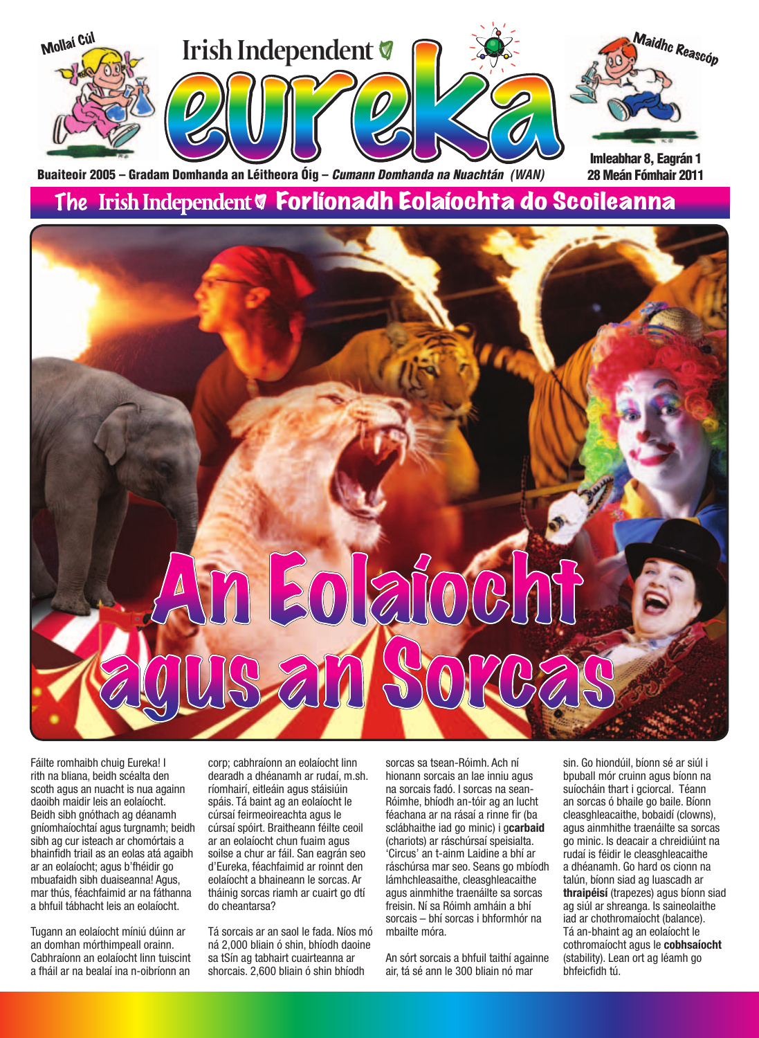

The Irish Independent **V Forlíonadh Eolaíochta do Scoileanna** 

# 30 2

Fáilte romhaibh chuig Eureka! I rith na bliana, beidh scéalta den scoth agus an nuacht is nua againn daoibh maidir leis an eolaíocht. Beidh sibh gnóthach ag déanamh gníomhaíochtaí agus turgnamh; beidh sibh ag cur isteach ar chomórtais a bhainfidh triail as an eolas atá agaibh ar an eolaíocht; agus b'fhéidir go mbuafaidh sibh duaiseanna! Agus, mar thús, féachfaimid ar na fáthanna a bhfuil tábhacht leis an eolaíocht.

Tugann an eolaíocht míniú dúinn ar an domhan mórthimpeall orainn. Cabhraíonn an eolaíocht linn tuiscint a fháil ar na bealaí ina n-oibríonn an corp; cabhraíonn an eolaíocht linn dearadh a dhéanamh ar rudaí, m.sh. ríomhairí, eitleáin agus stáisiúin spáis. Tá baint ag an eolaíocht le cúrsaí feirmeoireachta agus le cúrsaí spóirt. Braitheann féilte ceoil ar an eolaíocht chun fuaim agus soilse a chur ar fáil. San eagrán seo d'Eureka, féachfaimid ar roinnt den eolaíocht a bhaineann le sorcas. Ar tháinig sorcas riamh ar cuairt go dtí do cheantarsa?

Tá sorcais ar an saol le fada. Níos mó ná 2,000 bliain ó shin, bhíodh daoine sa tSín ag tabhairt cuairteanna ar shorcais. 2,600 bliain ó shin bhíodh

sorcas sa tsean-Róimh. Ach ní hionann sorcais an lae inniu agus na sorcais fadó. I sorcas na sean-Róimhe, bhíodh an-tóir ag an lucht féachana ar na rásaí a rinne fir (ba sclábhaithe iad go minic) i g**carbaid** (chariots) ar ráschúrsaí speisialta. 'Circus' an t-ainm Laidine a bhí ar ráschúrsa mar seo. Seans go mbíodh lámhchleasaithe, cleasghleacaithe agus ainmhithe traenáilte sa sorcas freisin. Ní sa Róimh amháin a bhí sorcais - bhí sorcas i bhformhór na mbailte móra.

An sórt sorcais a bhfuil taithí againne air, tá sé ann le 300 bliain nó mar

sin. Go hiondúil, bíonn sé ar siúl i bpuball mór cruinn agus bíonn na suíocháin thart i gciorcal. Téann an sorcas ó bhaile go baile. Bíonn cleasghleacaithe, bobaidí (clowns), agus ainmhithe traenáilte sa sorcas go minic. Is deacair a chreidiúint na rudaí is féidir le cleasghleacaithe a dhéanamh. Go hard os cionn na talún, bíonn siad ag luascadh ar **thraipéisí** (trapezes) agus bíonn siad ag siúl ar shreanga. Is saineolaithe iad ar chothromaíocht (balance). Tá an-bhaint ag an eolaíocht le cothromaíocht agus le **cobhsaíocht** (stability). Lean ort ag léamh go bhfeicfidh tú.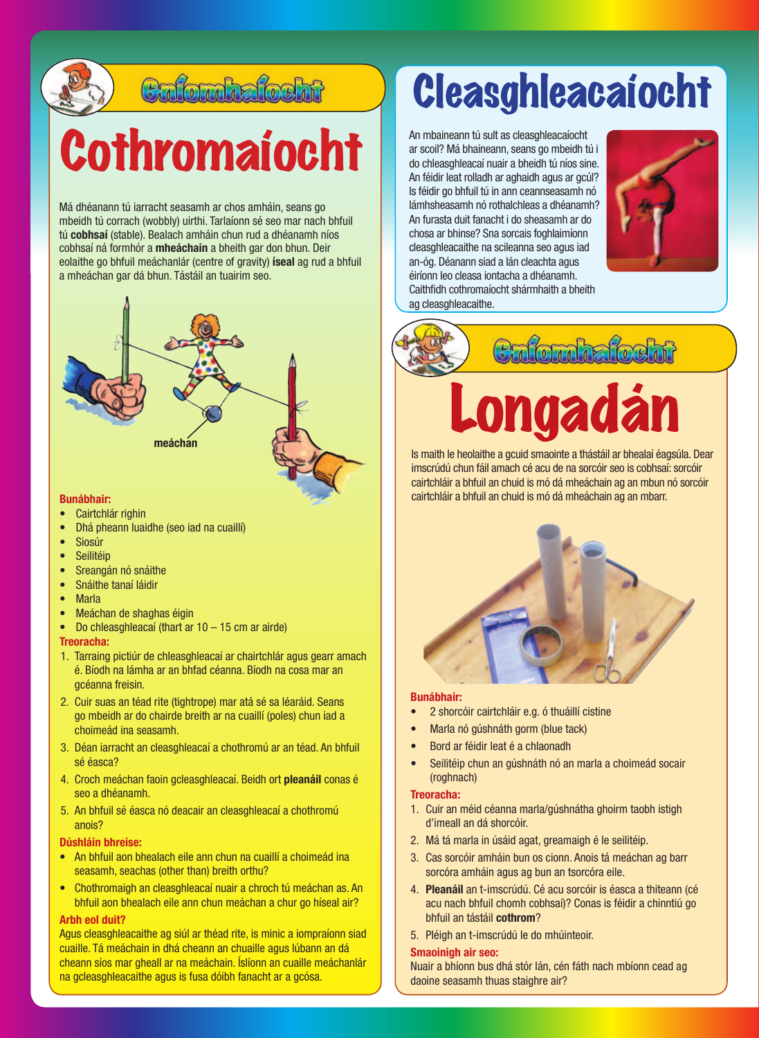

# Cafomhafocht

# Cothromaíocht

Má dhéanann tú iarracht seasamh ar chos amháin, seans go mbeidh tú corrach (wobbly) uirthi. Tarlaíonn sé seo mar nach bhfuil tú cobhsaí (stable). Bealach amháin chun rud a dhéanamh níos cobhsaí ná formhór a mheáchain a bheith gar don bhun. Deir eolaithe go bhfuil meáchanlár (centre of gravity) **íseal** ag rud a bhfuil a mheáchan gar dá bhun. Tástáil an tuairim seo.



# **Bunábhair:**

- Cairtchlár righin
- Dhá pheann luaidhe (seo iad na cuaillí)
- Siosúr
- • Seilitéip
- Sreangán nó snáithe
- Snáithe tanaí láidir
- **Marla**
- Meáchan de shaghas éigin
- Do chleasghleacaí (thart ar 10 15 cm ar airde)

# **Treoracha:**

- 1. Tarraing pictiúr de chleasghleacaí ar chairtchlár agus gearr amach é. Bíodh na lámha ar an bhfad céanna. Bíodh na cosa mar an gcéanna freisin.
- 2. Cuir suas an téad rite (tightrope) mar atá sé sa léaráid. Seans go mbeidh ar do chairde breith ar na cuaillí (poles) chun iad a choimeád ina seasamh.
- 3. Déan iarracht an cleasghleacaí a chothromú ar an téad. An bhfuil sé éasca?
- 4. Croch meáchan faoin gcleasghleacaí. Beidh ort pleanáil conas é seo a dhéanamh.
- 5. An bhfuil sé éasca nó deacair an cleasghleacaí a chothromú anois?

# **Dúshláin bhreise:**

- An bhfuil aon bhealach eile ann chun na cuaillí a choimeád ina seasamh, seachas (other than) breith orthu?
- Chothromaigh an cleasghleacaí nuair a chroch tú meáchan as. An bhfuil aon bhealach eile ann chun meáchan a chur go híseal air?

# **Arbh eol duit?**

Agus cleasghleacaithe ag siúl ar théad rite, is minic a iompraíonn siad cuaille. Tá meáchain in dhá cheann an chuaille agus lúbann an dá cheann síos mar gheall ar na meáchain. Íslíonn an cuaille meáchanlár na gcleasghleacaithe agus is fusa dóibh fanacht ar a gcósa.

# Cleasghleacaíocht

An mbaineann tú sult as cleasghleacaíocht ar scoil? Má bhaineann, seans go mbeidh tú i do chleasghleacaí nuair a bheidh tú níos sine. An féidir leat rolladh ar aghaidh agus ar gcúl? Is féidir go bhfuil tú in ann ceannseasamh nó lámhsheasamh nó rothalchleas a dhéanamh? An furasta duit fanacht i do sheasamh ar do chosa ar bhinse? Sna sorcais foghlaimíonn cleasghleacaithe na scileanna seo agus iad an-óg. Déanann siad a lán cleachta agus éiríonn leo cleasa iontacha a dhéanamh. Caithfidh cothromaíocht shármhaith a bheith ag cleasghleacaithe.



**Combe** 

# Longadán

Is maith le heolaithe a gcuid smaointe a thástáil ar bhealaí éagsúla. Dear imscrúdú chun fáil amach cé acu de na sorcóir seo is cobhsaí: sorcóir cairtchláir a bhfuil an chuid is mó dá mheáchain ag an mbun nó sorcóir cairtchláir a bhfuil an chuid is mó dá mheáchain ag an mbarr.



### **Bunábhair:**

- 2 shorcóir cairtchláir e.g. ó thuáillí cistine
- Marla nó gúshnáth gorm (blue tack)
- Bord ar féidir leat é a chlaonadh
- Seilitéip chun an gúshnáth nó an marla a choimeád socair (roghnach)

## **Treoracha:**

- 1. Cuir an méid céanna marla/gúshnátha ghoirm taobh istigh d'imeall an dá shorcóir.
- 2. Má tá marla in úsáid agat, greamaigh é le seilitéip.
- 3. Cas sorcóir amháin bun os cionn. Anois tá meáchan ag barr sorcóra amháin agus ag bun an tsorcóra eile.
- 4. **Pleanáil** an t-imscrúdú. Cé acu sorcóir is éasca a thiteann (cé acu nach bhfuil chomh cobhsaí)? Conas is féidir a chinntiú go **bhfuil an tástáil cothrom?**
- 5. Pléigh an t-imscrúdú le do mhúinteoir.

### **Smaoinigh air seo:**

Nuair a bhíonn bus dhá stór lán, cén fáth nach mbíonn cead ag daoine seasamh thuas staighre air?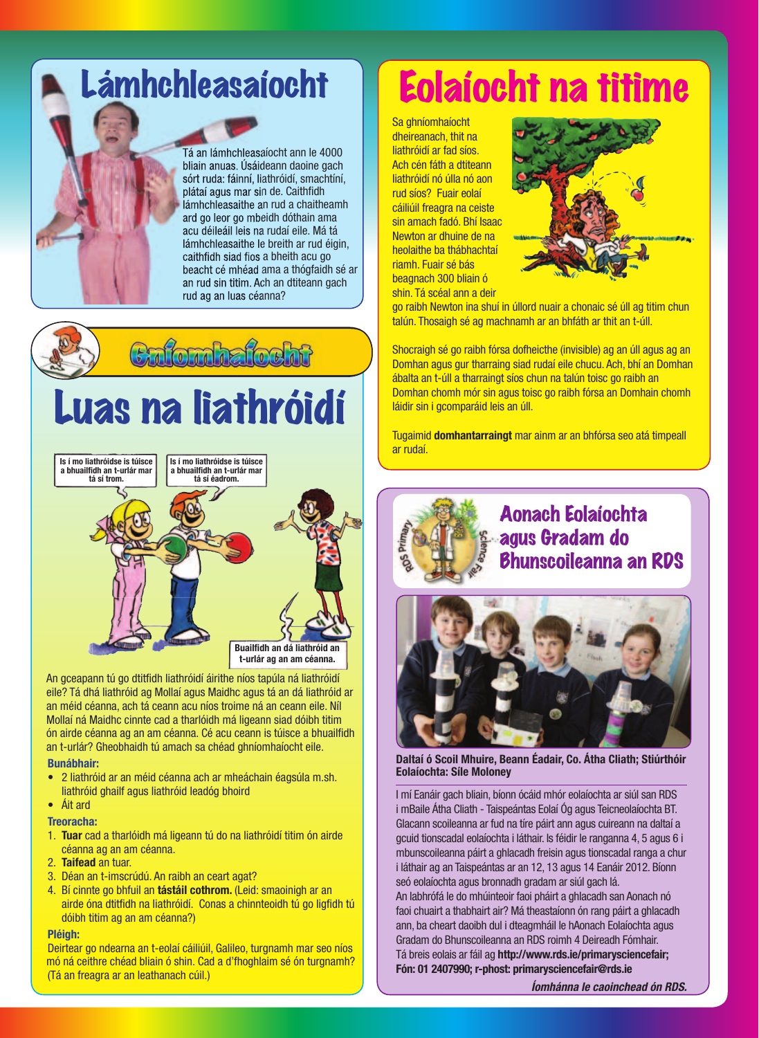# Lámhchleasaíocht

Tá an lámhchleasaíocht ann le 4000 bliain anuas. Úsáideann daoine gach sórt ruda: fáinní, liathróidí, smachtíní, plátaí agus mar sin de. Caithfidh lámhchleasaithe an rud a chaitheamh ard go leor go mbeidh dóthain ama acu déileáil leis na rudaí eile. Má tá lámhchleasaithe le breith ar rud éigin, caithfidh siad fios a bheith acu go beacht cé mhéad ama a thógfaidh sé ar an rud sin titim. Ach an dtiteann gach rud ag an luas céanna?

**Enfombafocht** Luas na liathróidí **Is í mo liathróidse is túisce Is í mo liathróidse is túisce a bhuailfi dh an t-urlár mar a bhuailfi dh an t-urlár mar tá sí éadrom. tá sí trom. Buailfi dh an dá liathróid an t-urlár ag an am céanna.**

An gceapann tú go dtitfidh liathróidí áirithe níos tapúla ná liathróidí eile? Tá dhá liathróid ag Mollaí agus Maidhc agus tá an dá liathróid ar an méid céanna, ach tá ceann acu níos troime ná an ceann eile. Níl Mollaí ná Maidhc cinnte cad a tharlóidh má ligeann siad dóibh titim ón airde céanna ag an am céanna. Cé acu ceann is túisce a bhuailfidh an t-urlár? Gheobhaidh tú amach sa chéad ghníomhaíocht eile.

### **Bunábhair:**

- 2 liathróid ar an méid céanna ach ar mheáchain éagsúla m.sh. liathróid ghailf agus liathróid leadóg bhoird
- $\bullet$  **Áit** ard

### **Treoracha:**

- 1. Tuar cad a tharlóidh má ligeann tú do na liathróidí titim ón airde céanna ag an am céanna.
- 2. **Taifead** an tuar.
- 3. Déan an t-imscrúdú. An raibh an ceart agat?
- 4. Bí cinnte go bhfuil an **tástáil cothrom.** (Leid: smaoinigh ar an airde óna dtitfidh na liathróidí. Conas a chinnteoidh tú go ligfidh tú dóibh titim ag an am céanna?)

# **Pléigh:**

Deirtear go ndearna an t-eolaí cáiliúil, Galileo, turgnamh mar seo níos mó ná ceithre chéad bliain ó shin. Cad a d'fhoghlaim sé ón turgnamh? (Tá an freagra ar an leathanach cúil.)

# Eolaíocht na titime

Sa ghníomhaíocht dheireanach, thit na liathróidí ar fad síos. Ach cén fáth a dtiteann liathróidí nó úlla nó aon rud síos? Fuair eolaí cáiliúil freagra na ceiste sin amach fadó. Bhí Isaac Newton ar dhuine de na heolaithe ba thábhachtaí riamh. Fuair sé bás beagnach 300 bliain ó shin. Tá scéal ann a deir



go raibh Newton ina shuí in úllord nuair a chonaic sé úll ag titim chun talún. Thosaigh sé ag machnamh ar an bhfáth ar thit an t-úll.

Shocraigh sé go raibh fórsa dofheicthe (invisible) ag an úll agus ag an Domhan agus gur tharraing siad rudaí eile chucu. Ach, bhí an Domhan ábalta an t-úll a tharraingt síos chun na talún toisc go raibh an Domhan chomh mór sin agus toisc go raibh fórsa an Domhain chomh láidir sin i gcomparáid leis an úll.

Tugaimid **domhantarraingt** mar ainm ar an bhfórsa seo atá timpeall ar rudaí.



# Aonach Eolaíochta agus Gradam do Bhunscoileanna an RDS



**Daltaí ó Scoil Mhuire, Beann Éadair, Co. Átha Cliath; Stiúrthóir Eolaíochta: Síle Moloney** 

I mí Eanáir gach bliain, bíonn ócáid mhór eolaíochta ar siúl san RDS i mBaile Átha Cliath - Taispeántas Eolaí Óg agus Teicneolaíochta BT. Glacann scoileanna ar fud na tíre páirt ann agus cuireann na daltaí a gcuid tionscadal eolaíochta i láthair. Is féidir le ranganna 4, 5 agus 6 i mbunscoileanna páirt a ghlacadh freisin agus tionscadal ranga a chur i láthair ag an Taispeántas ar an 12, 13 agus 14 Eanáir 2012. Bíonn seó eolaíochta agus bronnadh gradam ar siúl gach lá. An labhrófá le do mhúinteoir faoi pháirt a ghlacadh san Aonach nó faoi chuairt a thabhairt air? Má theastaíonn ón rang páirt a ghlacadh ann, ba cheart daoibh dul i dteagmháil le hAonach Eolaíochta agus Gradam do Bhunscoileanna an RDS roimh 4 Deireadh Fómhair. Tá breis eolais ar fáil ag http://www.rds.ie/primarysciencefair; **Fón: 01 2407990; r-phost: primarysciencefair@rds.ie**

*Íomhánna le caoinchead ón RDS.*